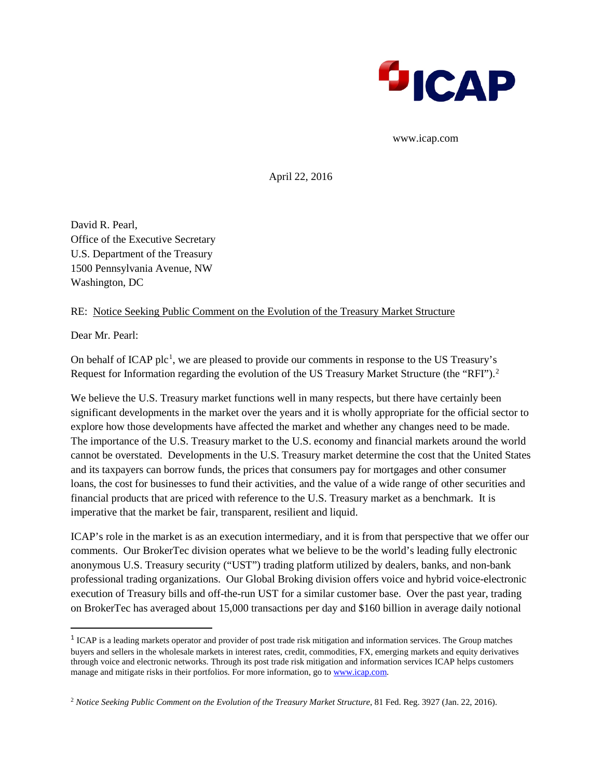

www.icap.com

April 22, 2016

David R. Pearl, Office of the Executive Secretary U.S. Department of the Treasury 1500 Pennsylvania Avenue, NW Washington, DC

#### RE: Notice Seeking Public Comment on the Evolution of the Treasury Market Structure

Dear Mr. Pearl:

 $\overline{\phantom{a}}$ 

On behalf of ICAP plc<sup>[1](#page-0-0)</sup>, we are pleased to provide our comments in response to the US Treasury's Request for Information regarding the evolution of the US Treasury Market Structure (the "RFI").<sup>[2](#page-0-1)</sup>

We believe the U.S. Treasury market functions well in many respects, but there have certainly been significant developments in the market over the years and it is wholly appropriate for the official sector to explore how those developments have affected the market and whether any changes need to be made. The importance of the U.S. Treasury market to the U.S. economy and financial markets around the world cannot be overstated. Developments in the U.S. Treasury market determine the cost that the United States and its taxpayers can borrow funds, the prices that consumers pay for mortgages and other consumer loans, the cost for businesses to fund their activities, and the value of a wide range of other securities and financial products that are priced with reference to the U.S. Treasury market as a benchmark. It is imperative that the market be fair, transparent, resilient and liquid.

ICAP's role in the market is as an execution intermediary, and it is from that perspective that we offer our comments. Our BrokerTec division operates what we believe to be the world's leading fully electronic anonymous U.S. Treasury security ("UST") trading platform utilized by dealers, banks, and non-bank professional trading organizations. Our Global Broking division offers voice and hybrid voice-electronic execution of Treasury bills and off-the-run UST for a similar customer base. Over the past year, trading on BrokerTec has averaged about 15,000 transactions per day and \$160 billion in average daily notional

<span id="page-0-0"></span><sup>&</sup>lt;sup>1</sup> ICAP is a leading markets operator and provider of post trade risk mitigation and information services. The Group matches buyers and sellers in the wholesale markets in interest rates, credit, commodities, FX, emerging markets and equity derivatives through voice and electronic networks. Through its post trade risk mitigation and information services ICAP helps customers manage and mitigate risks in their portfolios. For more information, go to [www.icap.com.](http://www.icap.com/)

<span id="page-0-1"></span><sup>&</sup>lt;sup>2</sup> Notice Seeking Public Comment on the Evolution of the Treasury Market Structure, 81 Fed. Reg. 3927 (Jan. 22, 2016).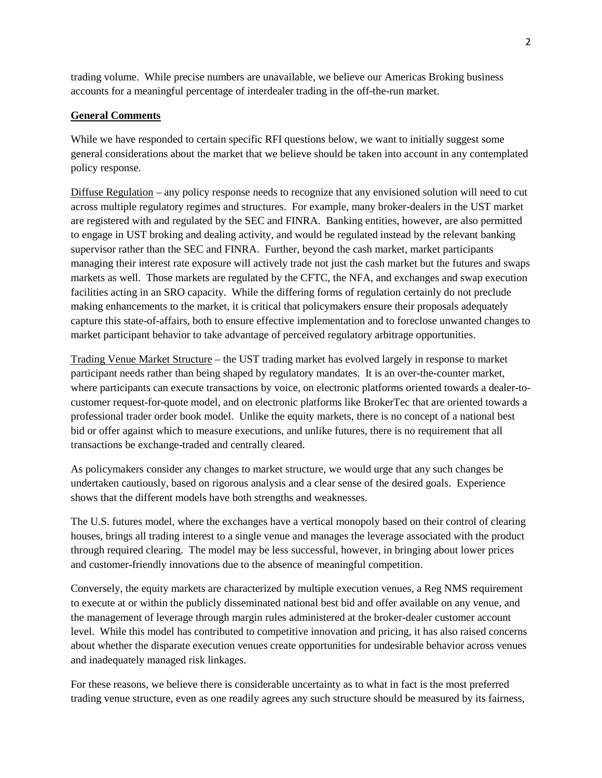trading volume. While precise numbers are unavailable, we believe our Americas Broking business accounts for a meaningful percentage of interdealer trading in the off-the-run market.

### **General Comments**

While we have responded to certain specific RFI questions below, we want to initially suggest some general considerations about the market that we believe should be taken into account in any contemplated policy response.

Diffuse Regulation – any policy response needs to recognize that any envisioned solution will need to cut across multiple regulatory regimes and structures. For example, many broker-dealers in the UST market are registered with and regulated by the SEC and FINRA. Banking entities, however, are also permitted to engage in UST broking and dealing activity, and would be regulated instead by the relevant banking supervisor rather than the SEC and FINRA. Further, beyond the cash market, market participants managing their interest rate exposure will actively trade not just the cash market but the futures and swaps markets as well. Those markets are regulated by the CFTC, the NFA, and exchanges and swap execution facilities acting in an SRO capacity. While the differing forms of regulation certainly do not preclude making enhancements to the market, it is critical that policymakers ensure their proposals adequately capture this state-of-affairs, both to ensure effective implementation and to foreclose unwanted changes to market participant behavior to take advantage of perceived regulatory arbitrage opportunities.

Trading Venue Market Structure – the UST trading market has evolved largely in response to market participant needs rather than being shaped by regulatory mandates. It is an over-the-counter market, where participants can execute transactions by voice, on electronic platforms oriented towards a dealer-tocustomer request-for-quote model, and on electronic platforms like BrokerTec that are oriented towards a professional trader order book model. Unlike the equity markets, there is no concept of a national best bid or offer against which to measure executions, and unlike futures, there is no requirement that all transactions be exchange-traded and centrally cleared.

As policymakers consider any changes to market structure, we would urge that any such changes be undertaken cautiously, based on rigorous analysis and a clear sense of the desired goals. Experience shows that the different models have both strengths and weaknesses.

The U.S. futures model, where the exchanges have a vertical monopoly based on their control of clearing houses, brings all trading interest to a single venue and manages the leverage associated with the product through required clearing. The model may be less successful, however, in bringing about lower prices and customer-friendly innovations due to the absence of meaningful competition.

Conversely, the equity markets are characterized by multiple execution venues, a Reg NMS requirement to execute at or within the publicly disseminated national best bid and offer available on any venue, and the management of leverage through margin rules administered at the broker-dealer customer account level. While this model has contributed to competitive innovation and pricing, it has also raised concerns about whether the disparate execution venues create opportunities for undesirable behavior across venues and inadequately managed risk linkages.

For these reasons, we believe there is considerable uncertainty as to what in fact is the most preferred trading venue structure, even as one readily agrees any such structure should be measured by its fairness,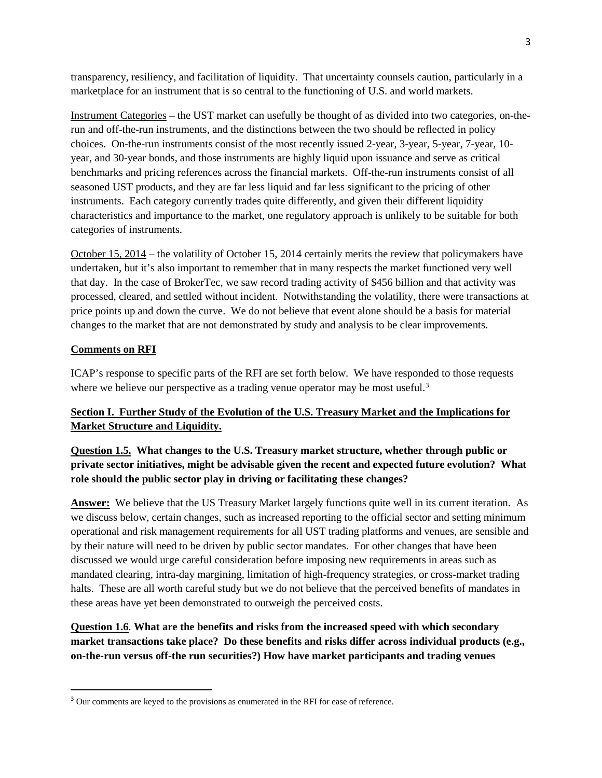transparency, resiliency, and facilitation of liquidity. That uncertainty counsels caution, particularly in a marketplace for an instrument that is so central to the functioning of U.S. and world markets.

Instrument Categories – the UST market can usefully be thought of as divided into two categories, on-therun and off-the-run instruments, and the distinctions between the two should be reflected in policy choices. On-the-run instruments consist of the most recently issued 2-year, 3-year, 5-year, 7-year, 10 year, and 30-year bonds, and those instruments are highly liquid upon issuance and serve as critical benchmarks and pricing references across the financial markets. Off-the-run instruments consist of all seasoned UST products, and they are far less liquid and far less significant to the pricing of other instruments. Each category currently trades quite differently, and given their different liquidity characteristics and importance to the market, one regulatory approach is unlikely to be suitable for both categories of instruments.

October 15, 2014 – the volatility of October 15, 2014 certainly merits the review that policymakers have undertaken, but it's also important to remember that in many respects the market functioned very well that day. In the case of BrokerTec, we saw record trading activity of \$456 billion and that activity was processed, cleared, and settled without incident. Notwithstanding the volatility, there were transactions at price points up and down the curve. We do not believe that event alone should be a basis for material changes to the market that are not demonstrated by study and analysis to be clear improvements.

### **Comments on RFI**

l

ICAP's response to specific parts of the RFI are set forth below. We have responded to those requests where we believe our perspective as a trading venue operator may be most useful. $3$ 

## **Section I. Further Study of the Evolution of the U.S. Treasury Market and the Implications for Market Structure and Liquidity.**

## **Question 1.5. What changes to the U.S. Treasury market structure, whether through public or private sector initiatives, might be advisable given the recent and expected future evolution? What role should the public sector play in driving or facilitating these changes?**

**Answer:** We believe that the US Treasury Market largely functions quite well in its current iteration. As we discuss below, certain changes, such as increased reporting to the official sector and setting minimum operational and risk management requirements for all UST trading platforms and venues, are sensible and by their nature will need to be driven by public sector mandates. For other changes that have been discussed we would urge careful consideration before imposing new requirements in areas such as mandated clearing, intra-day margining, limitation of high-frequency strategies, or cross-market trading halts. These are all worth careful study but we do not believe that the perceived benefits of mandates in these areas have yet been demonstrated to outweigh the perceived costs.

## **Question 1.6**. **What are the benefits and risks from the increased speed with which secondary market transactions take place? Do these benefits and risks differ across individual products (e.g., on-the-run versus off-the run securities?) How have market participants and trading venues**

<span id="page-2-0"></span><sup>&</sup>lt;sup>3</sup> Our comments are keyed to the provisions as enumerated in the RFI for ease of reference.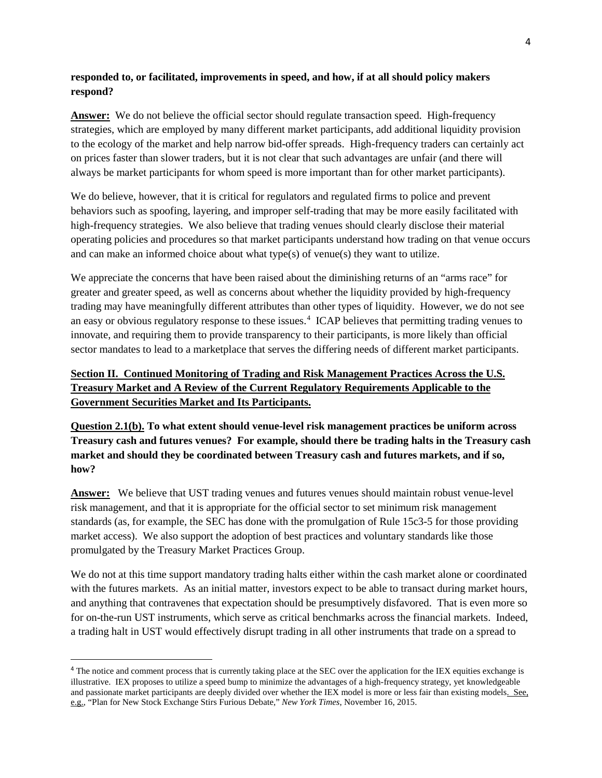### **responded to, or facilitated, improvements in speed, and how, if at all should policy makers respond?**

**Answer:** We do not believe the official sector should regulate transaction speed. High-frequency strategies, which are employed by many different market participants, add additional liquidity provision to the ecology of the market and help narrow bid-offer spreads. High-frequency traders can certainly act on prices faster than slower traders, but it is not clear that such advantages are unfair (and there will always be market participants for whom speed is more important than for other market participants).

We do believe, however, that it is critical for regulators and regulated firms to police and prevent behaviors such as spoofing, layering, and improper self-trading that may be more easily facilitated with high-frequency strategies. We also believe that trading venues should clearly disclose their material operating policies and procedures so that market participants understand how trading on that venue occurs and can make an informed choice about what type(s) of venue(s) they want to utilize.

We appreciate the concerns that have been raised about the diminishing returns of an "arms race" for greater and greater speed, as well as concerns about whether the liquidity provided by high-frequency trading may have meaningfully different attributes than other types of liquidity. However, we do not see an easy or obvious regulatory response to these issues. [4](#page-3-0) ICAP believes that permitting trading venues to innovate, and requiring them to provide transparency to their participants, is more likely than official sector mandates to lead to a marketplace that serves the differing needs of different market participants.

# **Section II. Continued Monitoring of Trading and Risk Management Practices Across the U.S. Treasury Market and A Review of the Current Regulatory Requirements Applicable to the Government Securities Market and Its Participants.**

**Question 2.1(b). To what extent should venue-level risk management practices be uniform across Treasury cash and futures venues? For example, should there be trading halts in the Treasury cash market and should they be coordinated between Treasury cash and futures markets, and if so, how?**

**Answer:** We believe that UST trading venues and futures venues should maintain robust venue-level risk management, and that it is appropriate for the official sector to set minimum risk management standards (as, for example, the SEC has done with the promulgation of Rule 15c3-5 for those providing market access). We also support the adoption of best practices and voluntary standards like those promulgated by the Treasury Market Practices Group.

We do not at this time support mandatory trading halts either within the cash market alone or coordinated with the futures markets. As an initial matter, investors expect to be able to transact during market hours, and anything that contravenes that expectation should be presumptively disfavored. That is even more so for on-the-run UST instruments, which serve as critical benchmarks across the financial markets. Indeed, a trading halt in UST would effectively disrupt trading in all other instruments that trade on a spread to

 $\overline{\phantom{a}}$ 

<span id="page-3-0"></span><sup>&</sup>lt;sup>4</sup> The notice and comment process that is currently taking place at the SEC over the application for the IEX equities exchange is illustrative. IEX proposes to utilize a speed bump to minimize the advantages of a high-frequency strategy, yet knowledgeable and passionate market participants are deeply divided over whether the IEX model is more or less fair than existing models. See, e.g., "Plan for New Stock Exchange Stirs Furious Debate," *New York Times*, November 16, 2015.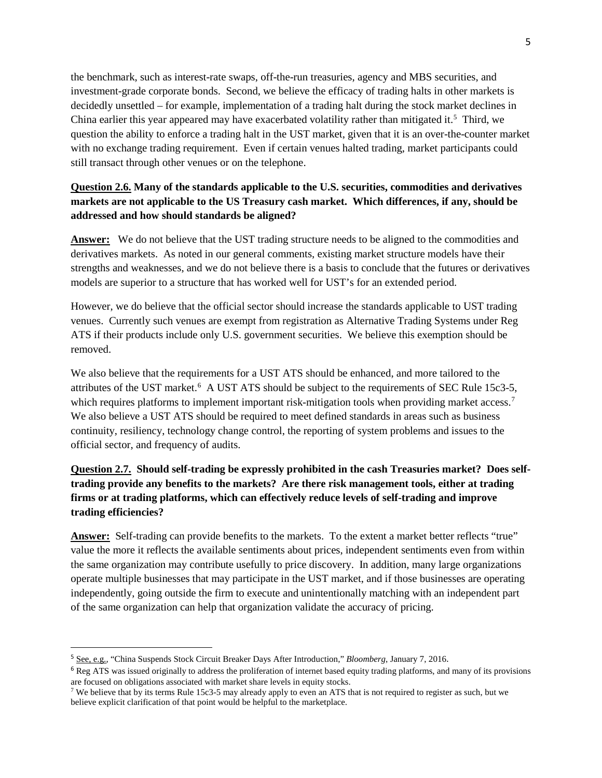the benchmark, such as interest-rate swaps, off-the-run treasuries, agency and MBS securities, and investment-grade corporate bonds. Second, we believe the efficacy of trading halts in other markets is decidedly unsettled – for example, implementation of a trading halt during the stock market declines in China earlier this year appeared may have exacerbated volatility rather than mitigated it.<sup>5</sup> Third, we question the ability to enforce a trading halt in the UST market, given that it is an over-the-counter market with no exchange trading requirement. Even if certain venues halted trading, market participants could still transact through other venues or on the telephone.

### **Question 2.6. Many of the standards applicable to the U.S. securities, commodities and derivatives markets are not applicable to the US Treasury cash market. Which differences, if any, should be addressed and how should standards be aligned?**

**Answer:** We do not believe that the UST trading structure needs to be aligned to the commodities and derivatives markets. As noted in our general comments, existing market structure models have their strengths and weaknesses, and we do not believe there is a basis to conclude that the futures or derivatives models are superior to a structure that has worked well for UST's for an extended period.

However, we do believe that the official sector should increase the standards applicable to UST trading venues. Currently such venues are exempt from registration as Alternative Trading Systems under Reg ATS if their products include only U.S. government securities. We believe this exemption should be removed.

We also believe that the requirements for a UST ATS should be enhanced, and more tailored to the attributes of the UST market.<sup>[6](#page-4-1)</sup> A UST ATS should be subject to the requirements of SEC Rule 15c3-5, which requires platforms to implement important risk-mitigation tools when providing market access.<sup>[7](#page-4-2)</sup> We also believe a UST ATS should be required to meet defined standards in areas such as business continuity, resiliency, technology change control, the reporting of system problems and issues to the official sector, and frequency of audits.

## **Question 2.7. Should self-trading be expressly prohibited in the cash Treasuries market? Does selftrading provide any benefits to the markets? Are there risk management tools, either at trading firms or at trading platforms, which can effectively reduce levels of self-trading and improve trading efficiencies?**

**Answer:** Self-trading can provide benefits to the markets. To the extent a market better reflects "true" value the more it reflects the available sentiments about prices, independent sentiments even from within the same organization may contribute usefully to price discovery. In addition, many large organizations operate multiple businesses that may participate in the UST market, and if those businesses are operating independently, going outside the firm to execute and unintentionally matching with an independent part of the same organization can help that organization validate the accuracy of pricing.

 $\overline{\phantom{a}}$ 

<span id="page-4-0"></span><sup>5</sup> See, e.g., "China Suspends Stock Circuit Breaker Days After Introduction," *Bloomberg*, January 7, 2016.

<span id="page-4-1"></span><sup>&</sup>lt;sup>6</sup> Reg ATS was issued originally to address the proliferation of internet based equity trading platforms, and many of its provisions are focused on obligations associated with market share levels in equity stocks.

<span id="page-4-2"></span><sup>&</sup>lt;sup>7</sup> We believe that by its terms Rule 15c3-5 may already apply to even an ATS that is not required to register as such, but we believe explicit clarification of that point would be helpful to the marketplace.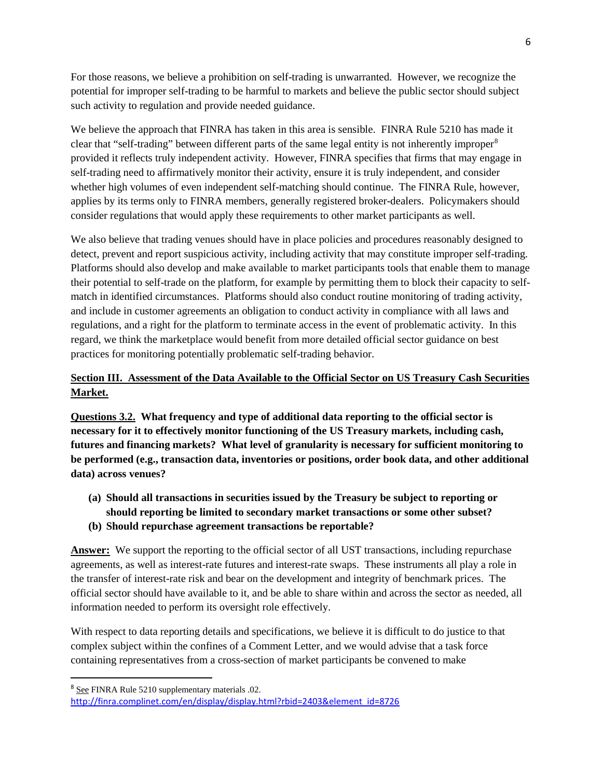For those reasons, we believe a prohibition on self-trading is unwarranted. However, we recognize the potential for improper self-trading to be harmful to markets and believe the public sector should subject such activity to regulation and provide needed guidance.

We believe the approach that FINRA has taken in this area is sensible. FINRA Rule 5210 has made it clear that "self-trading" between different parts of the same legal entity is not inherently improper<sup>[8](#page-5-0)</sup> provided it reflects truly independent activity. However, FINRA specifies that firms that may engage in self-trading need to affirmatively monitor their activity, ensure it is truly independent, and consider whether high volumes of even independent self-matching should continue. The FINRA Rule, however, applies by its terms only to FINRA members, generally registered broker-dealers. Policymakers should consider regulations that would apply these requirements to other market participants as well.

We also believe that trading venues should have in place policies and procedures reasonably designed to detect, prevent and report suspicious activity, including activity that may constitute improper self-trading. Platforms should also develop and make available to market participants tools that enable them to manage their potential to self-trade on the platform, for example by permitting them to block their capacity to selfmatch in identified circumstances. Platforms should also conduct routine monitoring of trading activity, and include in customer agreements an obligation to conduct activity in compliance with all laws and regulations, and a right for the platform to terminate access in the event of problematic activity. In this regard, we think the marketplace would benefit from more detailed official sector guidance on best practices for monitoring potentially problematic self-trading behavior.

## **Section III. Assessment of the Data Available to the Official Sector on US Treasury Cash Securities Market.**

**Questions 3.2. What frequency and type of additional data reporting to the official sector is necessary for it to effectively monitor functioning of the US Treasury markets, including cash, futures and financing markets? What level of granularity is necessary for sufficient monitoring to be performed (e.g., transaction data, inventories or positions, order book data, and other additional data) across venues?**

- **(a) Should all transactions in securities issued by the Treasury be subject to reporting or should reporting be limited to secondary market transactions or some other subset?**
- **(b) Should repurchase agreement transactions be reportable?**

**Answer:** We support the reporting to the official sector of all UST transactions, including repurchase agreements, as well as interest-rate futures and interest-rate swaps. These instruments all play a role in the transfer of interest-rate risk and bear on the development and integrity of benchmark prices. The official sector should have available to it, and be able to share within and across the sector as needed, all information needed to perform its oversight role effectively.

With respect to data reporting details and specifications, we believe it is difficult to do justice to that complex subject within the confines of a Comment Letter, and we would advise that a task force containing representatives from a cross-section of market participants be convened to make

 $\overline{\phantom{a}}$ 

<span id="page-5-0"></span><sup>8</sup> See FINRA Rule 5210 supplementary materials .02.

[http://finra.complinet.com/en/display/display.html?rbid=2403&element\\_id=8726](http://finra.complinet.com/en/display/display.html?rbid=2403&element_id=8726)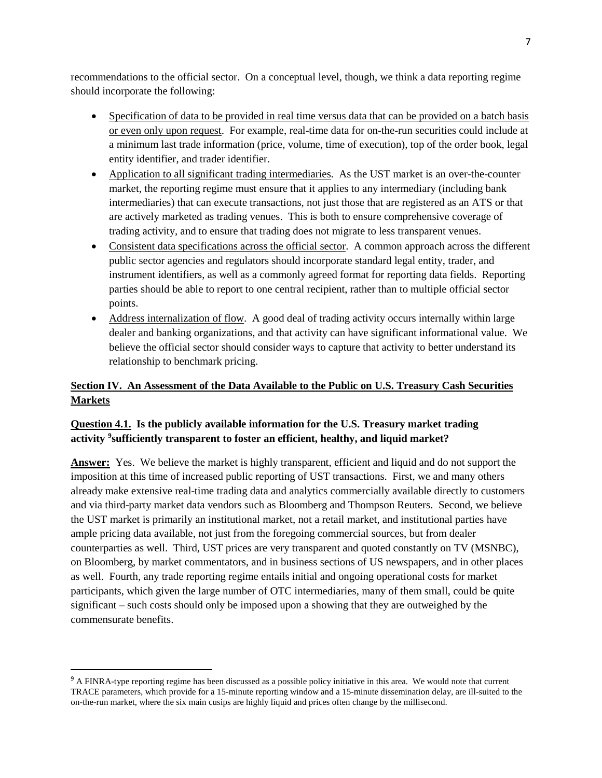recommendations to the official sector. On a conceptual level, though, we think a data reporting regime should incorporate the following:

- Specification of data to be provided in real time versus data that can be provided on a batch basis or even only upon request. For example, real-time data for on-the-run securities could include at a minimum last trade information (price, volume, time of execution), top of the order book, legal entity identifier, and trader identifier.
- Application to all significant trading intermediaries. As the UST market is an over-the-counter market, the reporting regime must ensure that it applies to any intermediary (including bank intermediaries) that can execute transactions, not just those that are registered as an ATS or that are actively marketed as trading venues. This is both to ensure comprehensive coverage of trading activity, and to ensure that trading does not migrate to less transparent venues.
- Consistent data specifications across the official sector. A common approach across the different public sector agencies and regulators should incorporate standard legal entity, trader, and instrument identifiers, as well as a commonly agreed format for reporting data fields. Reporting parties should be able to report to one central recipient, rather than to multiple official sector points.
- Address internalization of flow. A good deal of trading activity occurs internally within large dealer and banking organizations, and that activity can have significant informational value. We believe the official sector should consider ways to capture that activity to better understand its relationship to benchmark pricing.

# **Section IV. An Assessment of the Data Available to the Public on U.S. Treasury Cash Securities Markets**

## **Question 4.1. Is the publicly available information for the U.S. Treasury market trading activity [9](#page-6-0) sufficiently transparent to foster an efficient, healthy, and liquid market?**

**Answer:** Yes. We believe the market is highly transparent, efficient and liquid and do not support the imposition at this time of increased public reporting of UST transactions. First, we and many others already make extensive real-time trading data and analytics commercially available directly to customers and via third-party market data vendors such as Bloomberg and Thompson Reuters. Second, we believe the UST market is primarily an institutional market, not a retail market, and institutional parties have ample pricing data available, not just from the foregoing commercial sources, but from dealer counterparties as well. Third, UST prices are very transparent and quoted constantly on TV (MSNBC), on Bloomberg, by market commentators, and in business sections of US newspapers, and in other places as well. Fourth, any trade reporting regime entails initial and ongoing operational costs for market participants, which given the large number of OTC intermediaries, many of them small, could be quite significant – such costs should only be imposed upon a showing that they are outweighed by the commensurate benefits.

l

<span id="page-6-0"></span><sup>&</sup>lt;sup>9</sup> A FINRA-type reporting regime has been discussed as a possible policy initiative in this area. We would note that current TRACE parameters, which provide for a 15-minute reporting window and a 15-minute dissemination delay, are ill-suited to the on-the-run market, where the six main cusips are highly liquid and prices often change by the millisecond.